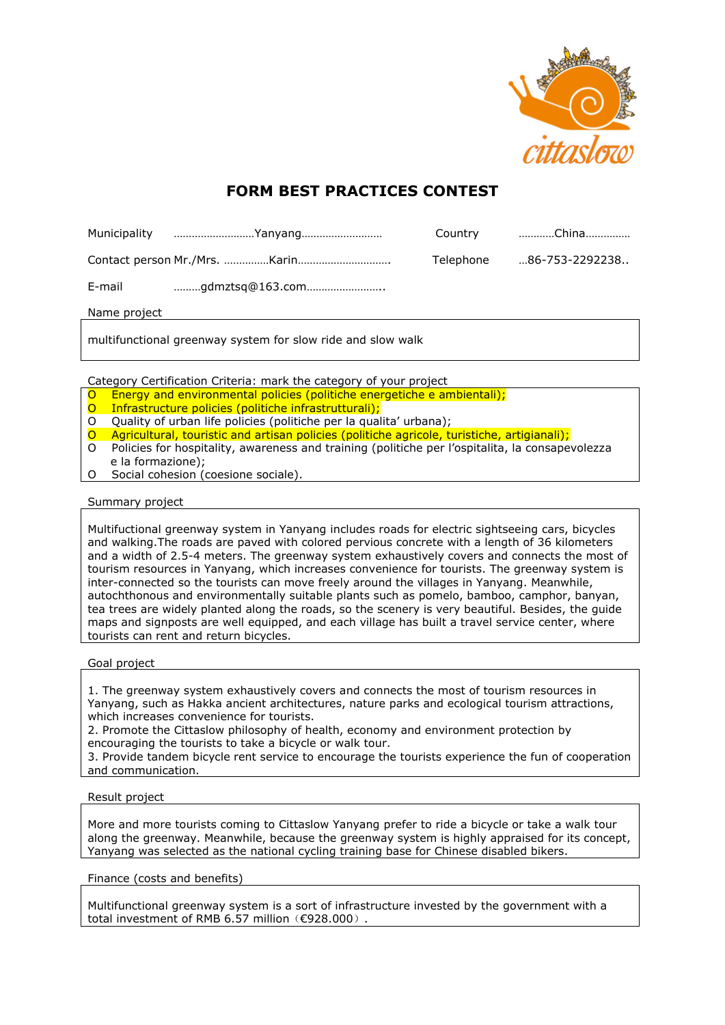

## **FORM BEST PRACTICES CONTEST**

|              | Municipality Yanyang |           | Country China   |
|--------------|----------------------|-----------|-----------------|
|              |                      | Telephone | …86-753-2292238 |
|              |                      |           |                 |
| Name project |                      |           |                 |

multifunctional greenway system for slow ride and slow walk

Category Certification Criteria: mark the category of your project

- O Energy and environmental policies (politiche energetiche e ambientali);
- O Infrastructure policies (politiche infrastrutturali);
- O Quality of urban life policies (politiche per la qualita' urbana);
- O Agricultural, touristic and artisan policies (politiche agricole, turistiche, artigianali);
- O Policies for hospitality, awareness and training (politiche per l'ospitalita, la consapevolezza e la formazione);
- O Social cohesion (coesione sociale).

## Summary project

Multifuctional greenway system in Yanyang includes roads for electric sightseeing cars, bicycles and walking.The roads are paved with colored pervious concrete with a length of 36 kilometers and a width of 2.5-4 meters. The greenway system exhaustively covers and connects the most of tourism resources in Yanyang, which increases convenience for tourists. The greenway system is inter-connected so the tourists can move freely around the villages in Yanyang. Meanwhile, autochthonous and environmentally suitable plants such as pomelo, bamboo, camphor, banyan, tea trees are widely planted along the roads, so the scenery is very beautiful. Besides, the guide maps and signposts are well equipped, and each village has built a travel service center, where tourists can rent and return bicycles.

## Goal project

1. The greenway system exhaustively covers and connects the most of tourism resources in Yanyang, such as Hakka ancient architectures, nature parks and ecological tourism attractions, which increases convenience for tourists.

2. Promote the Cittaslow philosophy of health, economy and environment protection by encouraging the tourists to take a bicycle or walk tour.

3. Provide tandem bicycle rent service to encourage the tourists experience the fun of cooperation and communication.

## Result project

More and more tourists coming to Cittaslow Yanyang prefer to ride a bicycle or take a walk tour along the greenway. Meanwhile, because the greenway system is highly appraised for its concept, Yanyang was selected as the national cycling training base for Chinese disabled bikers.

Finance (costs and benefits)

Multifunctional greenway system is a sort of infrastructure invested by the government with a total investment of RMB 6.57 million (€928.000).